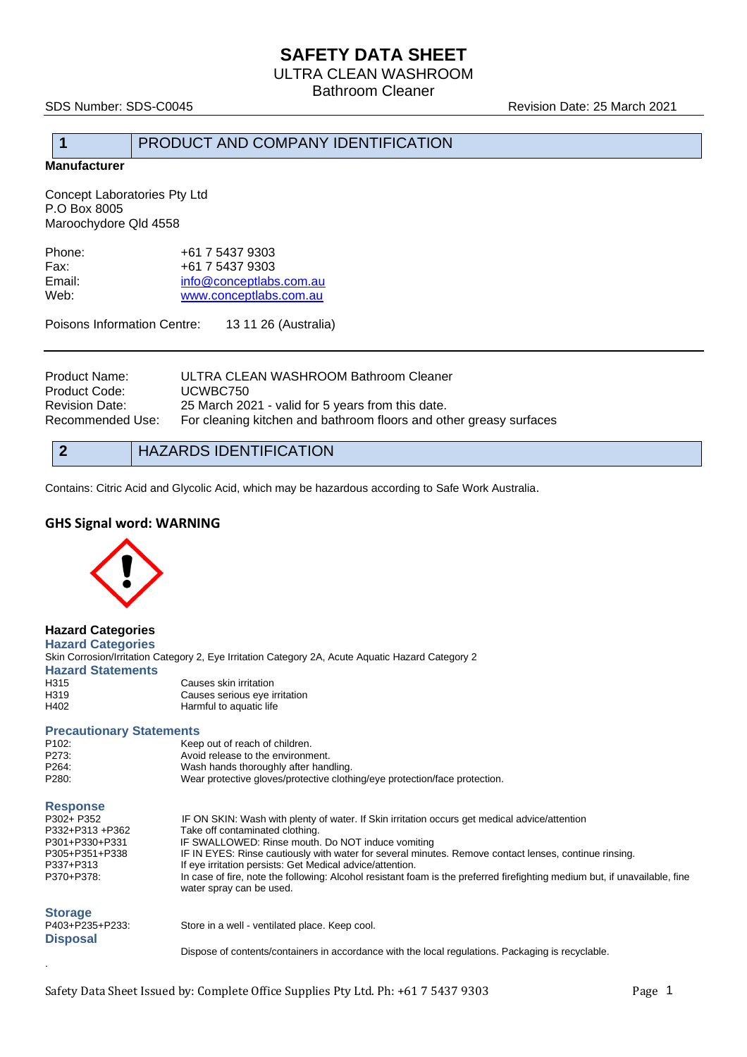# **SAFETY DATA SHEET**

ULTRA CLEAN WASHROOM

Bathroom Cleaner

SDS Number: SDS-C0045 Revision Date: 25 March 2021

# **1** PRODUCT AND COMPANY IDENTIFICATION

**Manufacturer**

Concept Laboratories Pty Ltd P.O Box 8005 Maroochydore Qld 4558

| Phone: | +61 7 5437 9303         |
|--------|-------------------------|
| Fax:   | +61 7 5437 9303         |
| Email: | info@conceptlabs.com.au |
| Web:   | www.conceptlabs.com.au  |
|        |                         |

Poisons Information Centre: 13 11 26 (Australia)

| Product Name:<br>Product Code:<br>Revision Date:<br>Recommended Use: | ULTRA CLEAN WASHROOM Bathroom Cleaner<br>UCWBC750<br>25 March 2021 - valid for 5 years from this date.<br>For cleaning kitchen and bathroom floors and other greasy surfaces |
|----------------------------------------------------------------------|------------------------------------------------------------------------------------------------------------------------------------------------------------------------------|
|                                                                      |                                                                                                                                                                              |
|                                                                      |                                                                                                                                                                              |

| $\bullet$ | <b>HAZARDS IDENTIFICATION</b> |
|-----------|-------------------------------|
|-----------|-------------------------------|

Contains: Citric Acid and Glycolic Acid, which may be hazardous according to Safe Work Australia.

## **GHS Signal word: WARNING**



**Hazard Categories Hazard Categories** Skin Corrosion/Irritation Category 2, Eye Irritation Category 2A, Acute Aquatic Hazard Category 2 **Hazard Statements** H315 Causes skin irritation<br>
H319 Causes serious eye i H319 Causes serious eye irritation<br>
H402 Harmful to aquatic life Harmful to aquatic life

## **Precautionary Statements**

| P102:                                                                                        | Keep out of reach of children.                                                                                                                         |  |       |
|----------------------------------------------------------------------------------------------|--------------------------------------------------------------------------------------------------------------------------------------------------------|--|-------|
| P273:<br>Avoid release to the environment.<br>P264:<br>Wash hands thoroughly after handling. |                                                                                                                                                        |  |       |
|                                                                                              |                                                                                                                                                        |  | P280: |
| <b>Response</b>                                                                              |                                                                                                                                                        |  |       |
| P302+ P352                                                                                   | IF ON SKIN: Wash with plenty of water. If Skin irritation occurs get medical advice/attention                                                          |  |       |
| P332+P313 +P362                                                                              | Take off contaminated clothing.                                                                                                                        |  |       |
| P301+P330+P331                                                                               | IF SWALLOWED: Rinse mouth. Do NOT induce vomiting                                                                                                      |  |       |
| P305+P351+P338                                                                               | IF IN EYES: Rinse cautiously with water for several minutes. Remove contact lenses, continue rinsing.                                                  |  |       |
| P337+P313                                                                                    | If eye irritation persists: Get Medical advice/attention.                                                                                              |  |       |
| P370+P378:                                                                                   | In case of fire, note the following: Alcohol resistant foam is the preferred firefighting medium but, if unavailable, fine<br>water spray can be used. |  |       |
| <b>Storage</b>                                                                               |                                                                                                                                                        |  |       |
| P403+P235+P233:                                                                              | Store in a well - ventilated place. Keep cool.                                                                                                         |  |       |
| <b>Disposal</b>                                                                              |                                                                                                                                                        |  |       |
|                                                                                              | Dispose of contents/containers in accordance with the local regulations. Packaging is recyclable.                                                      |  |       |
|                                                                                              |                                                                                                                                                        |  |       |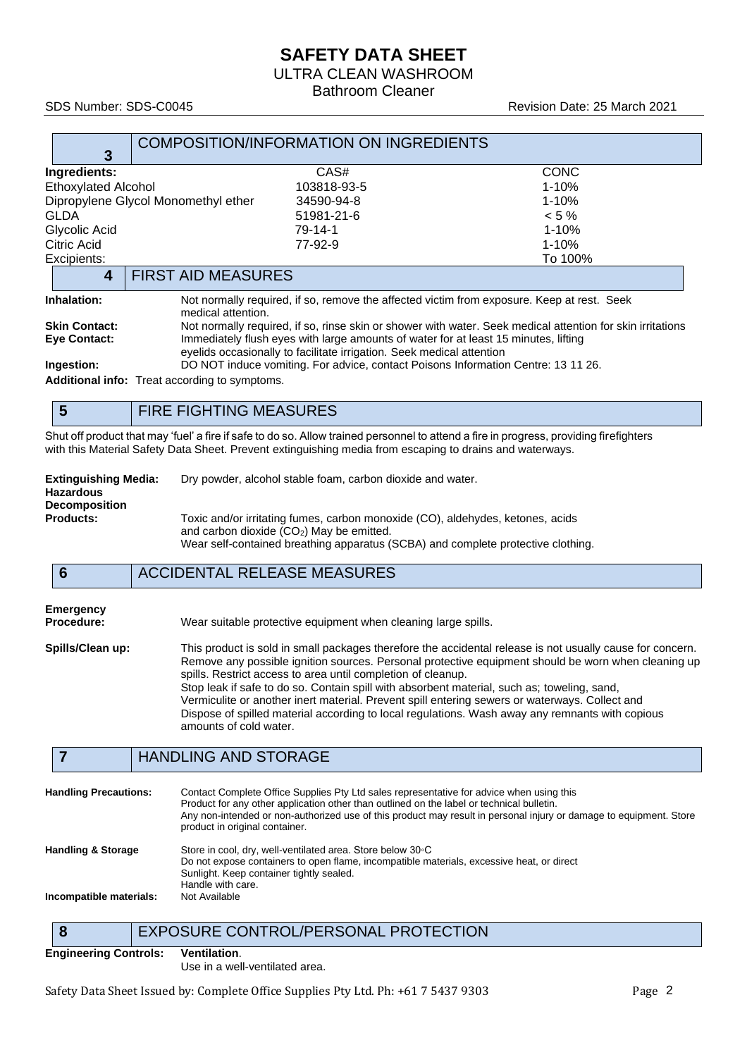# **SAFETY DATA SHEET**

ULTRA CLEAN WASHROOM

Bathroom Cleaner

### SDS Number: SDS-C0045 Revision Date: 25 March 2021

| 3                                   | COMPOSITION/INFORMATION ON INGREDIENTS |             |
|-------------------------------------|----------------------------------------|-------------|
| Ingredients:                        | CAS#                                   | <b>CONC</b> |
| <b>Ethoxylated Alcohol</b>          | 103818-93-5                            | $1 - 10%$   |
| Dipropylene Glycol Monomethyl ether | 34590-94-8                             | $1 - 10%$   |
| <b>GLDA</b>                         | 51981-21-6                             | $< 5 \%$    |
| Glycolic Acid                       | 79-14-1                                | $1 - 10%$   |
| Citric Acid                         | 77-92-9                                | $1 - 10%$   |
| Excipients:                         |                                        | To 100%     |
| <b>FIRST AID MEASURES</b><br>4      |                                        |             |

**Inhalation:** Not normally required, if so, remove the affected victim from exposure. Keep at rest. Seek medical attention.

**Skin Contact:** Not normally required, if so, rinse skin or shower with water. Seek medical attention for skin irritations<br> **Eve Contact:** Immediately flush eves with large amounts of water for at least 15 minutes, lifting Immediately flush eyes with large amounts of water for at least 15 minutes, lifting eyelids occasionally to facilitate irrigation. Seek medical attention **Ingestion:** DO NOT induce vomiting. For advice, contact Poisons Information Centre: 13 11 26.

**Additional info:** Treat according to symptoms.

# **5** FIRE FIGHTING MEASURES

Shut off product that may 'fuel' a fire if safe to do so. Allow trained personnel to attend a fire in progress, providing firefighters with this Material Safety Data Sheet. Prevent extinguishing media from escaping to drains and waterways.

| <b>Extinguishing Media:</b> | Dry powder, alcohol stable foam, carbon dioxide and water.  |
|-----------------------------|-------------------------------------------------------------|
| <b>Hazardous</b>            |                                                             |
| <b>Decomposition</b>        |                                                             |
| <b>Products:</b>            | Toxic and/or irritating fumes, carbon monoxide (CO), aldehy |

Toxic and/or irritating fumes, carbon monoxide (CO), aldehydes, ketones, acids and carbon dioxide (CO2) May be emitted. Wear self-contained breathing apparatus (SCBA) and complete protective clothing.

# **6** ACCIDENTAL RELEASE MEASURES

| Emergency  |      |
|------------|------|
| Procedure: | Wear |

suitable protective equipment when cleaning large spills.

**Spills/Clean up:** This product is sold in small packages therefore the accidental release is not usually cause for concern. Remove any possible ignition sources. Personal protective equipment should be worn when cleaning up spills. Restrict access to area until completion of cleanup. Stop leak if safe to do so. Contain spill with absorbent material, such as; toweling, sand, Vermiculite or another inert material. Prevent spill entering sewers or waterways. Collect and Dispose of spilled material according to local regulations. Wash away any remnants with copious amounts of cold water.

## **7** HANDLING AND STORAGE

| <b>Handling Precautions:</b>  | Contact Complete Office Supplies Pty Ltd sales representative for advice when using this<br>Product for any other application other than outlined on the label or technical bulletin.<br>Any non-intended or non-authorized use of this product may result in personal injury or damage to equipment. Store<br>product in original container. |
|-------------------------------|-----------------------------------------------------------------------------------------------------------------------------------------------------------------------------------------------------------------------------------------------------------------------------------------------------------------------------------------------|
| <b>Handling &amp; Storage</b> | Store in cool, dry, well-ventilated area. Store below 30 °C<br>Do not expose containers to open flame, incompatible materials, excessive heat, or direct<br>Sunlight. Keep container tightly sealed.<br>Handle with care.                                                                                                                     |
| Incompatible materials:       | Not Available                                                                                                                                                                                                                                                                                                                                 |

# **8** EXPOSURE CONTROL/PERSONAL PROTECTION

#### **Engineering Controls: Ventilation**.

Use in a well-ventilated area.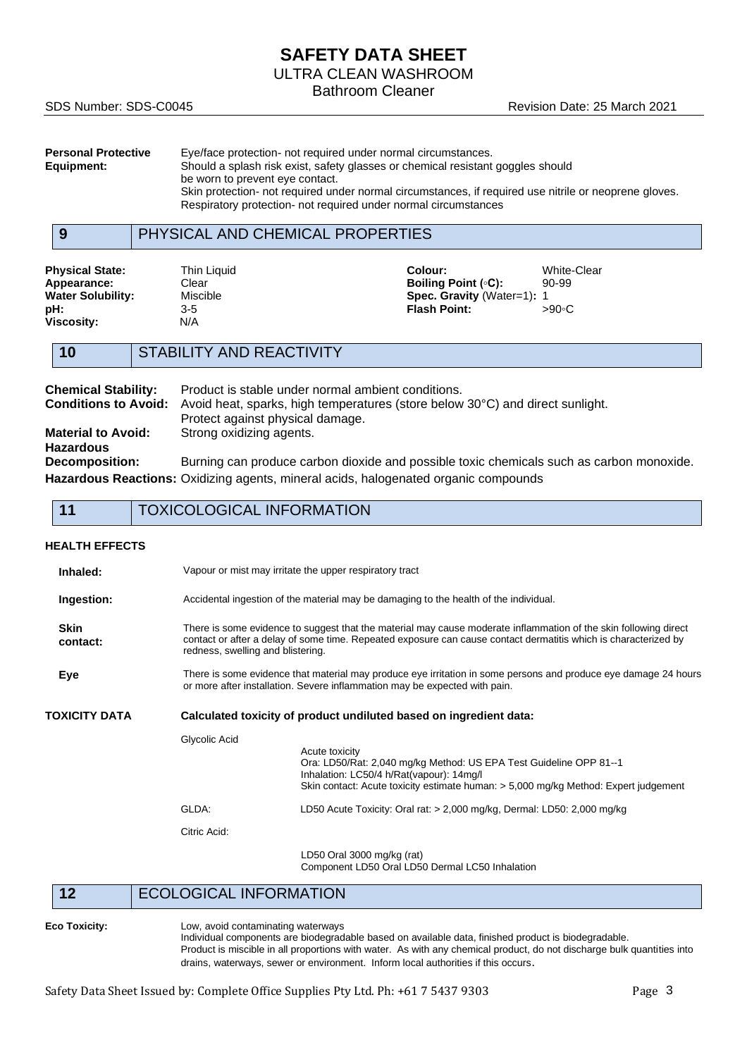# **SAFETY DATA SHEET**

ULTRA CLEAN WASHROOM

Bathroom Cleaner

SDS Number: SDS-C0045 Revision Date: 25 March 2021

| <b>Personal Protective</b> | Eye/face protection- not required under normal circumstances.                                         |
|----------------------------|-------------------------------------------------------------------------------------------------------|
| Equipment:                 | Should a splash risk exist, safety glasses or chemical resistant goggles should                       |
|                            | be worn to prevent eye contact.                                                                       |
|                            | Skin protection- not required under normal circumstances, if required use nitrile or neoprene gloves. |
|                            | Respiratory protection- not required under normal circumstances                                       |

## **9** PHYSICAL AND CHEMICAL PROPERTIES

**Viscosity:** 

**Physical State:** Thin Liquid **Colour:** Colour: White-Clear<br> **Appearance:** Clear Clear **Colour:** Boiling Point (°C): 90-99 **Appearance:** Clear **Clear <b>Boiling Point** (◦C): 90-9999 (←C): 90-9999 (←C): 90-9999 (→ Boiling Point (◦C): 90-9999 (→ Point Offer Spec. Gravity (Wat **Spec. Gravity** (Water=1): 1 **pH:** 3-5 **Flash Point:** >90◦C

# **10** STABILITY AND REACTIVITY

| <b>Chemical Stability:</b>  | Product is stable under normal ambient conditions.                                       |
|-----------------------------|------------------------------------------------------------------------------------------|
| <b>Conditions to Avoid:</b> | Avoid heat, sparks, high temperatures (store below 30°C) and direct sunlight.            |
|                             | Protect against physical damage.                                                         |
| <b>Material to Avoid:</b>   | Strong oxidizing agents.                                                                 |
| <b>Hazardous</b>            |                                                                                          |
| <b>Decomposition:</b>       | Burning can produce carbon dioxide and possible toxic chemicals such as carbon monoxide. |
|                             | Hazardous Reactions: Oxidizing agents, mineral acids, halogenated organic compounds      |

|  | <b>TOXICOLOGICAL INFORMATION</b> |
|--|----------------------------------|
|--|----------------------------------|

#### **HEALTH EFFECTS**

| Inhaled:                |                                                                    | Vapour or mist may irritate the upper respiratory tract                                                                                                                                                                                                                  |  |
|-------------------------|--------------------------------------------------------------------|--------------------------------------------------------------------------------------------------------------------------------------------------------------------------------------------------------------------------------------------------------------------------|--|
| Ingestion:              |                                                                    | Accidental ingestion of the material may be damaging to the health of the individual.                                                                                                                                                                                    |  |
| <b>Skin</b><br>contact: |                                                                    | There is some evidence to suggest that the material may cause moderate inflammation of the skin following direct<br>contact or after a delay of some time. Repeated exposure can cause contact dermatitis which is characterized by<br>redness, swelling and blistering. |  |
| Eye                     |                                                                    | There is some evidence that material may produce eye irritation in some persons and produce eye damage 24 hours<br>or more after installation. Severe inflammation may be expected with pain.                                                                            |  |
| TOXICITY DATA           | Calculated toxicity of product undiluted based on ingredient data: |                                                                                                                                                                                                                                                                          |  |
|                         | Glycolic Acid                                                      | Acute toxicity<br>Ora: LD50/Rat: 2,040 mg/kg Method: US EPA Test Guideline OPP 81--1<br>Inhalation: LC50/4 h/Rat(vapour): 14mg/l<br>Skin contact: Acute toxicity estimate human: > 5,000 mg/kg Method: Expert judgement                                                  |  |
|                         | GLDA:                                                              | LD50 Acute Toxicity: Oral rat: > 2,000 mg/kg, Dermal: LD50: 2,000 mg/kg                                                                                                                                                                                                  |  |
|                         | Citric Acid:                                                       |                                                                                                                                                                                                                                                                          |  |
|                         |                                                                    | LD50 Oral 3000 mg/kg (rat)<br>Component LD50 Oral LD50 Dermal LC50 Inhalation                                                                                                                                                                                            |  |

**12** ECOLOGICAL INFORMATION

**Eco Toxicity:** Low, avoid contaminating waterways

Individual components are biodegradable based on available data, finished product is biodegradable. Product is miscible in all proportions with water. As with any chemical product, do not discharge bulk quantities into drains, waterways, sewer or environment. Inform local authorities if this occurs.